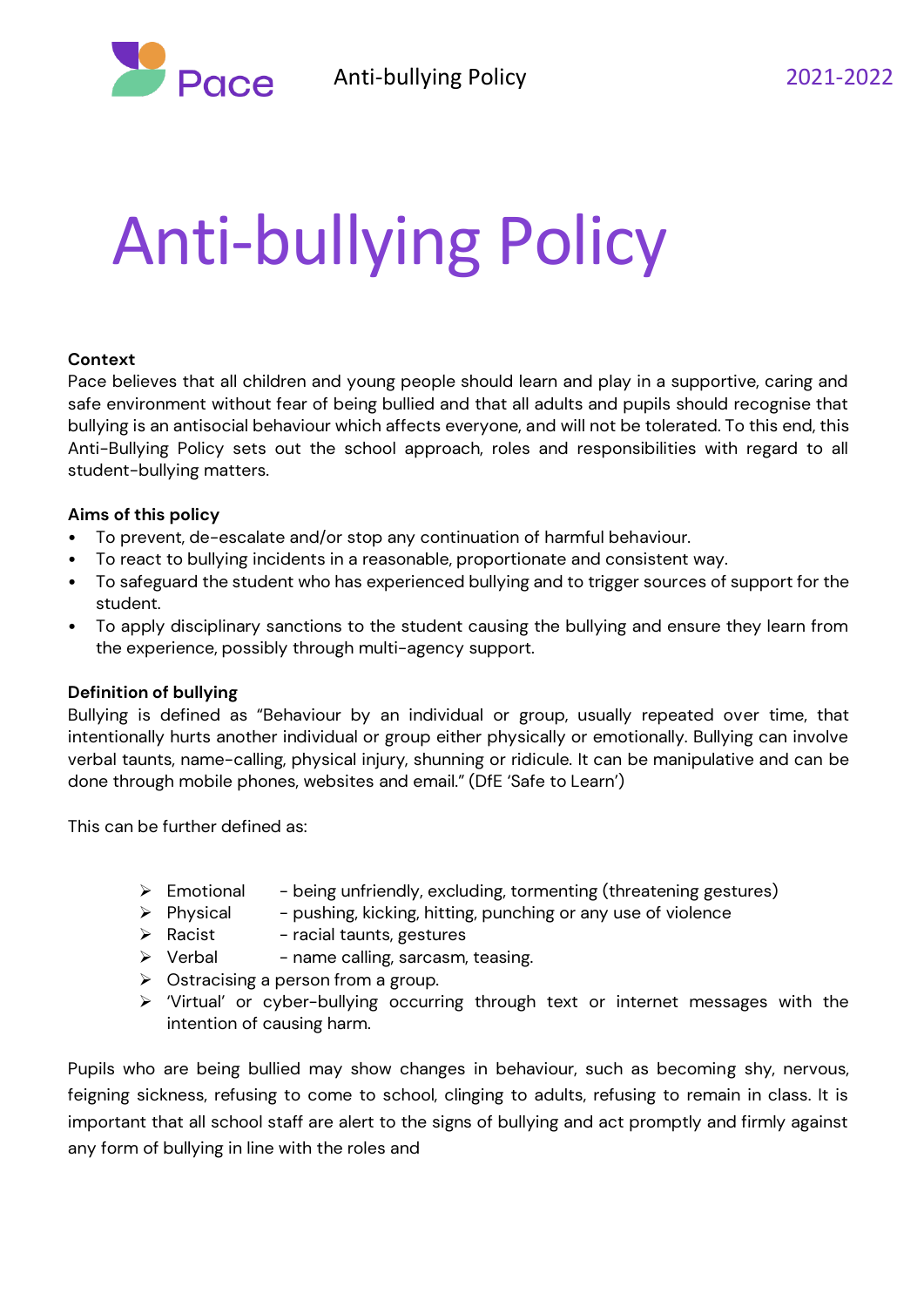

# Anti-bullying Policy

#### **Context**

Pace believes that all children and young people should learn and play in a supportive, caring and safe environment without fear of being bullied and that all adults and pupils should recognise that bullying is an antisocial behaviour which affects everyone, and will not be tolerated. To this end, this Anti-Bullying Policy sets out the school approach, roles and responsibilities with regard to all student-bullying matters.

### **Aims of this policy**

- To prevent, de-escalate and/or stop any continuation of harmful behaviour.
- To react to bullying incidents in a reasonable, proportionate and consistent way.
- To safeguard the student who has experienced bullying and to trigger sources of support for the student.
- To apply disciplinary sanctions to the student causing the bullying and ensure they learn from the experience, possibly through multi-agency support.

# **Definition of bullying**

Bullying is defined as "Behaviour by an individual or group, usually repeated over time, that intentionally hurts another individual or group either physically or emotionally. Bullying can involve verbal taunts, name-calling, physical injury, shunning or ridicule. It can be manipulative and can be done through mobile phones, websites and email." (DfE 'Safe to Learn')

This can be further defined as:

- $\triangleright$  Emotional being unfriendly, excluding, tormenting (threatening gestures)
- $\triangleright$  Physical pushing, kicking, hitting, punching or any use of violence
- $\triangleright$  Racist racial taunts, gestures
- $\triangleright$  Verbal name calling, sarcasm, teasing.
- $\triangleright$  Ostracising a person from a group.
- ➢ 'Virtual' or cyber-bullying occurring through text or internet messages with the intention of causing harm.

Pupils who are being bullied may show changes in behaviour, such as becoming shy, nervous, feigning sickness, refusing to come to school, clinging to adults, refusing to remain in class. It is important that all school staff are alert to the signs of bullying and act promptly and firmly against any form of bullying in line with the roles and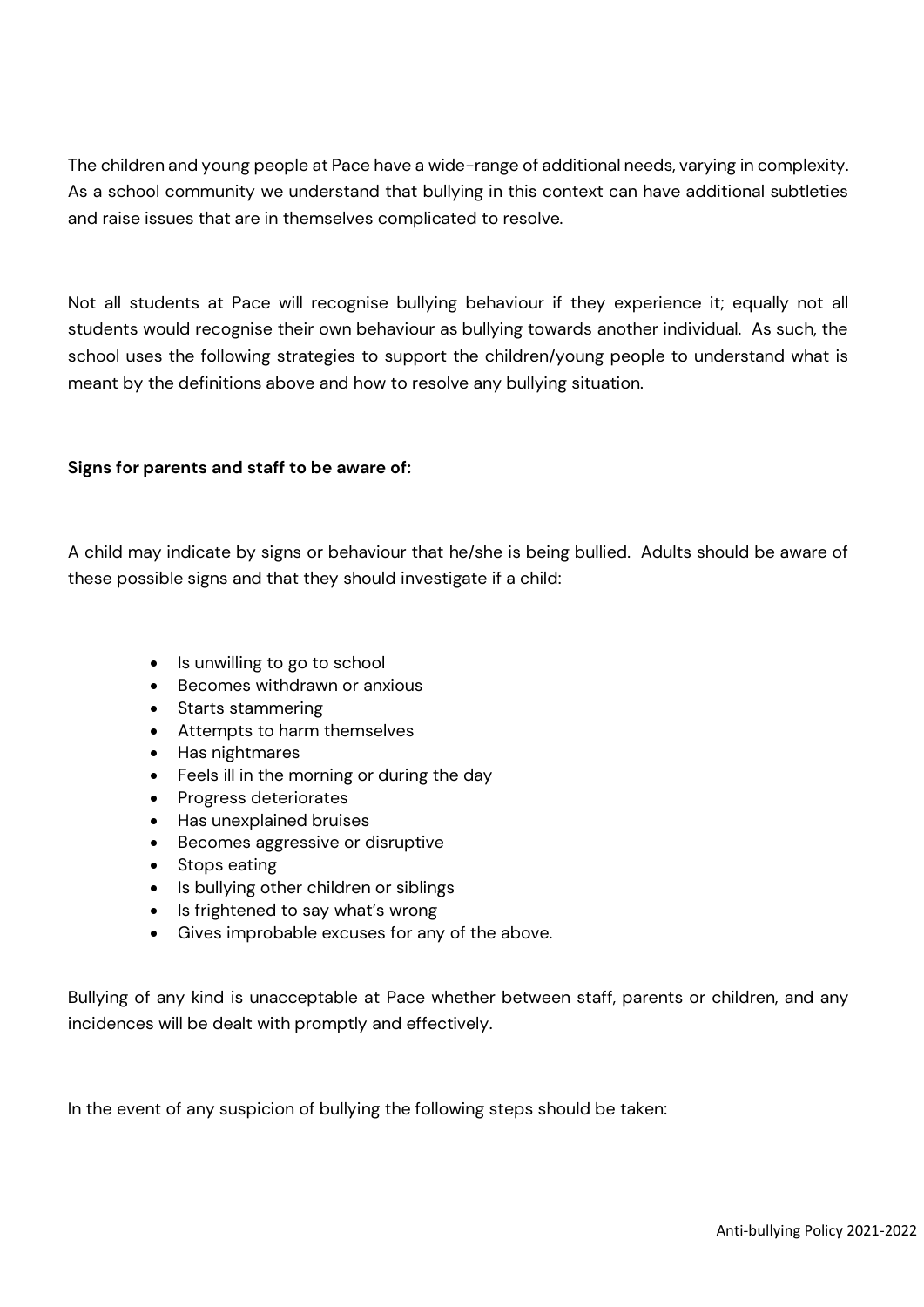The children and young people at Pace have a wide-range of additional needs, varying in complexity. As a school community we understand that bullying in this context can have additional subtleties and raise issues that are in themselves complicated to resolve.

Not all students at Pace will recognise bullying behaviour if they experience it; equally not all students would recognise their own behaviour as bullying towards another individual. As such, the school uses the following strategies to support the children/young people to understand what is meant by the definitions above and how to resolve any bullying situation.

### **Signs for parents and staff to be aware of:**

A child may indicate by signs or behaviour that he/she is being bullied. Adults should be aware of these possible signs and that they should investigate if a child:

- Is unwilling to go to school
- Becomes withdrawn or anxious
- Starts stammering
- Attempts to harm themselves
- Has nightmares
- Feels ill in the morning or during the day
- Progress deteriorates
- Has unexplained bruises
- Becomes aggressive or disruptive
- Stops eating
- Is bullying other children or siblings
- Is frightened to say what's wrong
- Gives improbable excuses for any of the above.

Bullying of any kind is unacceptable at Pace whether between staff, parents or children, and any incidences will be dealt with promptly and effectively.

In the event of any suspicion of bullying the following steps should be taken: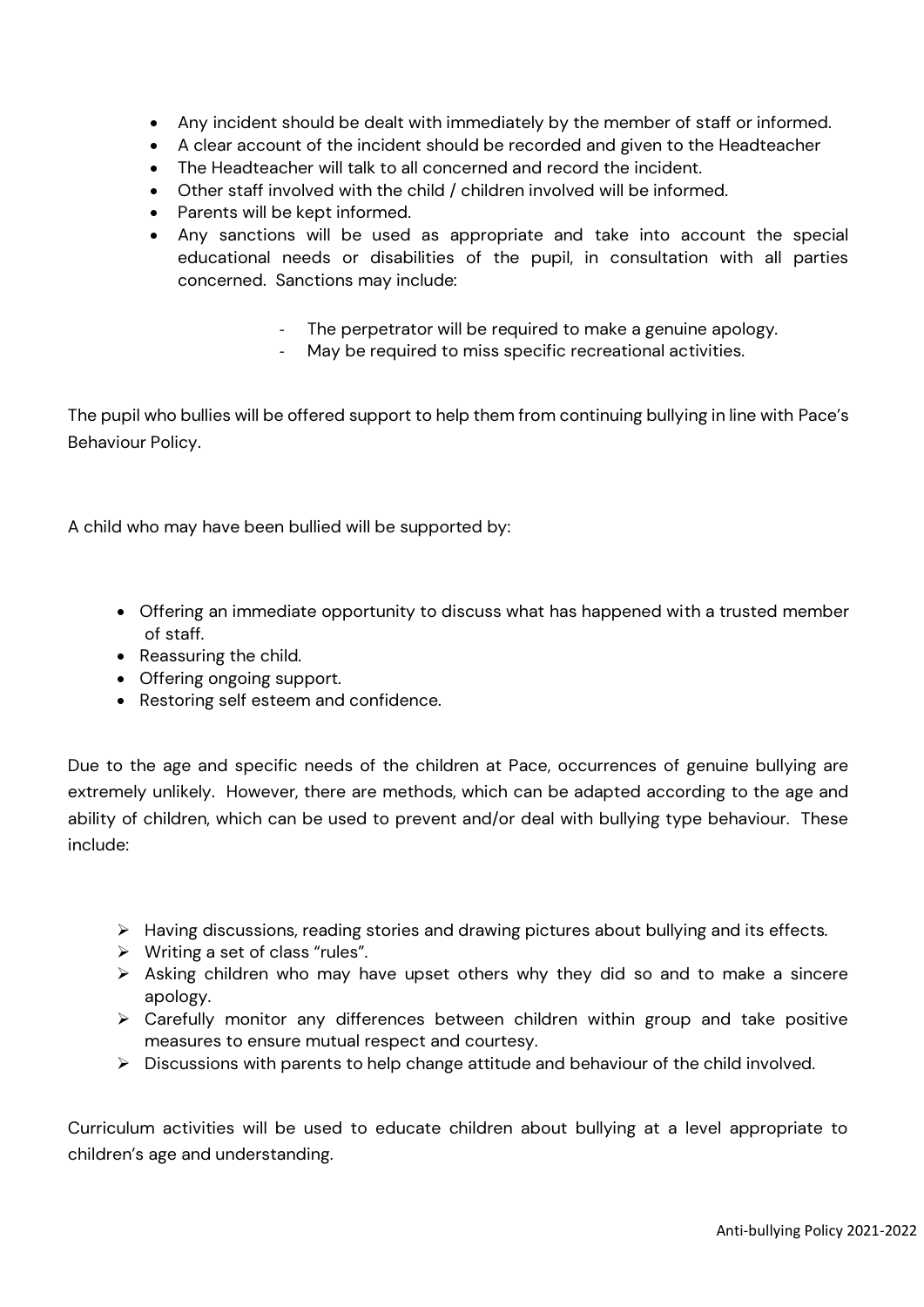- Any incident should be dealt with immediately by the member of staff or informed.
- A clear account of the incident should be recorded and given to the Headteacher
- The Headteacher will talk to all concerned and record the incident.
- Other staff involved with the child / children involved will be informed.
- Parents will be kept informed.
- Any sanctions will be used as appropriate and take into account the special educational needs or disabilities of the pupil, in consultation with all parties concerned. Sanctions may include:
	- The perpetrator will be required to make a genuine apology.
	- May be required to miss specific recreational activities.

The pupil who bullies will be offered support to help them from continuing bullying in line with Pace's Behaviour Policy.

A child who may have been bullied will be supported by:

- Offering an immediate opportunity to discuss what has happened with a trusted member of staff.
- Reassuring the child.
- Offering ongoing support.
- Restoring self esteem and confidence.

Due to the age and specific needs of the children at Pace, occurrences of genuine bullying are extremely unlikely. However, there are methods, which can be adapted according to the age and ability of children, which can be used to prevent and/or deal with bullying type behaviour. These include:

- ➢ Having discussions, reading stories and drawing pictures about bullying and its effects.
- ➢ Writing a set of class "rules".
- ➢ Asking children who may have upset others why they did so and to make a sincere apology.
- ➢ Carefully monitor any differences between children within group and take positive measures to ensure mutual respect and courtesy.
- ➢ Discussions with parents to help change attitude and behaviour of the child involved.

Curriculum activities will be used to educate children about bullying at a level appropriate to children's age and understanding.